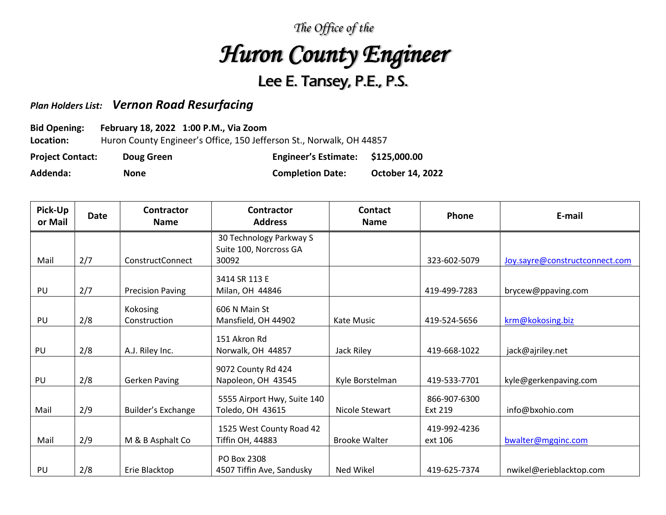## *The Office of the Huron County Engineer*  Lee E. Tansey, P.E., P.S.

## *Plan Holders List: Vernon Road Resurfacing*

## **Bid Opening: February 18, 2022 1:00 P.M., Via Zoom**

**Location:** Huron County Engineer's Office, 150 Jefferson St., Norwalk, OH 44857

**Project Contact: Doug Green Engineer's Estimate: \$125,000.00 Addenda: None Completion Date: October 14, 2022**

| Pick-Up<br>or Mail | <b>Date</b> | Contractor<br><b>Name</b> | <b>Contractor</b><br><b>Address</b> | <b>Contact</b><br><b>Name</b> | Phone        | E-mail                         |
|--------------------|-------------|---------------------------|-------------------------------------|-------------------------------|--------------|--------------------------------|
|                    |             |                           | 30 Technology Parkway S             |                               |              |                                |
|                    |             |                           | Suite 100, Norcross GA              |                               |              |                                |
| Mail               | 2/7         | <b>ConstructConnect</b>   | 30092                               |                               | 323-602-5079 | Joy.sayre@constructconnect.com |
|                    |             |                           | 3414 SR 113 E                       |                               |              |                                |
| PU                 | 2/7         | <b>Precision Paving</b>   | Milan, OH 44846                     |                               | 419-499-7283 | brycew@ppaving.com             |
|                    |             | Kokosing                  | 606 N Main St                       |                               |              |                                |
| PU                 | 2/8         | Construction              | Mansfield, OH 44902                 | Kate Music                    | 419-524-5656 | krm@kokosing.biz               |
|                    |             |                           |                                     |                               |              |                                |
|                    |             |                           | 151 Akron Rd                        |                               |              |                                |
| PU                 | 2/8         | A.J. Riley Inc.           | Norwalk, OH 44857                   | Jack Riley                    | 419-668-1022 | jack@ajriley.net               |
|                    |             |                           | 9072 County Rd 424                  |                               |              |                                |
| PU                 | 2/8         | <b>Gerken Paving</b>      | Napoleon, OH 43545                  | Kyle Borstelman               | 419-533-7701 | kyle@gerkenpaving.com          |
|                    |             |                           | 5555 Airport Hwy, Suite 140         |                               | 866-907-6300 |                                |
| Mail               | 2/9         | Builder's Exchange        | Toledo, OH 43615                    | Nicole Stewart                | Ext 219      | info@bxohio.com                |
|                    |             |                           |                                     |                               |              |                                |
|                    |             |                           | 1525 West County Road 42            |                               | 419-992-4236 |                                |
| Mail               | 2/9         | M & B Asphalt Co          | Tiffin OH, 44883                    | <b>Brooke Walter</b>          | ext 106      | bwalter@mgqinc.com             |
|                    |             |                           | PO Box 2308                         |                               |              |                                |
| PU                 | 2/8         | Erie Blacktop             | 4507 Tiffin Ave, Sandusky           | Ned Wikel                     | 419-625-7374 | nwikel@erieblacktop.com        |